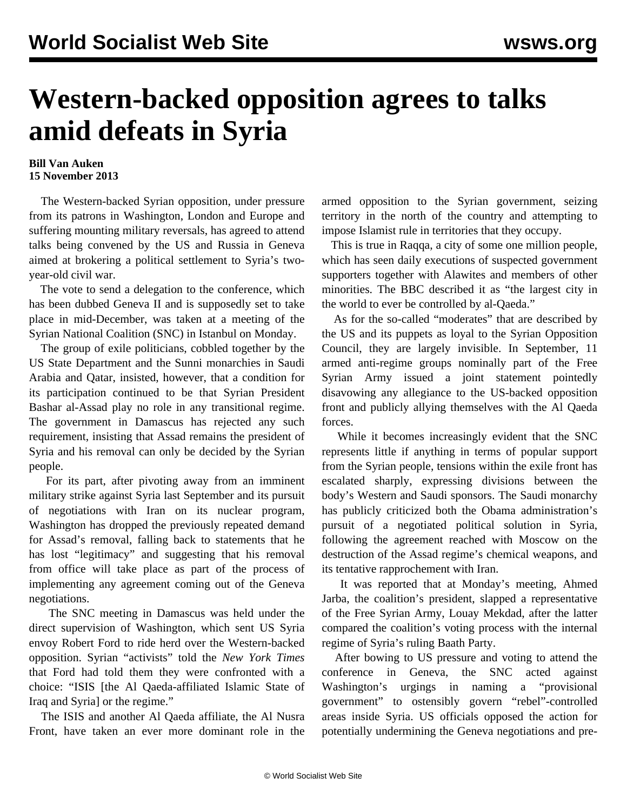## **Western-backed opposition agrees to talks amid defeats in Syria**

## **Bill Van Auken 15 November 2013**

 The Western-backed Syrian opposition, under pressure from its patrons in Washington, London and Europe and suffering mounting military reversals, has agreed to attend talks being convened by the US and Russia in Geneva aimed at brokering a political settlement to Syria's twoyear-old civil war.

 The vote to send a delegation to the conference, which has been dubbed Geneva II and is supposedly set to take place in mid-December, was taken at a meeting of the Syrian National Coalition (SNC) in Istanbul on Monday.

 The group of exile politicians, cobbled together by the US State Department and the Sunni monarchies in Saudi Arabia and Qatar, insisted, however, that a condition for its participation continued to be that Syrian President Bashar al-Assad play no role in any transitional regime. The government in Damascus has rejected any such requirement, insisting that Assad remains the president of Syria and his removal can only be decided by the Syrian people.

 For its part, after pivoting away from an imminent military strike against Syria last September and its pursuit of negotiations with Iran on its nuclear program, Washington has dropped the previously repeated demand for Assad's removal, falling back to statements that he has lost "legitimacy" and suggesting that his removal from office will take place as part of the process of implementing any agreement coming out of the Geneva negotiations.

 The SNC meeting in Damascus was held under the direct supervision of Washington, which sent US Syria envoy Robert Ford to ride herd over the Western-backed opposition. Syrian "activists" told the *New York Times* that Ford had told them they were confronted with a choice: "ISIS [the Al Qaeda-affiliated Islamic State of Iraq and Syria] or the regime."

 The ISIS and another Al Qaeda affiliate, the Al Nusra Front, have taken an ever more dominant role in the armed opposition to the Syrian government, seizing territory in the north of the country and attempting to impose Islamist rule in territories that they occupy.

 This is true in Raqqa, a city of some one million people, which has seen daily executions of suspected government supporters together with Alawites and members of other minorities. The BBC described it as "the largest city in the world to ever be controlled by al-Qaeda."

 As for the so-called "moderates" that are described by the US and its puppets as loyal to the Syrian Opposition Council, they are largely invisible. In September, 11 armed anti-regime groups nominally part of the Free Syrian Army issued a joint statement pointedly disavowing any allegiance to the US-backed opposition front and publicly allying themselves with the Al Qaeda forces.

 While it becomes increasingly evident that the SNC represents little if anything in terms of popular support from the Syrian people, tensions within the exile front has escalated sharply, expressing divisions between the body's Western and Saudi sponsors. The Saudi monarchy has publicly criticized both the Obama administration's pursuit of a negotiated political solution in Syria, following the agreement reached with Moscow on the destruction of the Assad regime's chemical weapons, and its tentative rapprochement with Iran.

 It was reported that at Monday's meeting, Ahmed Jarba, the coalition's president, slapped a representative of the Free Syrian Army, Louay Mekdad, after the latter compared the coalition's voting process with the internal regime of Syria's ruling Baath Party.

 After bowing to US pressure and voting to attend the conference in Geneva, the SNC acted against Washington's urgings in naming a "provisional government" to ostensibly govern "rebel"-controlled areas inside Syria. US officials opposed the action for potentially undermining the Geneva negotiations and pre